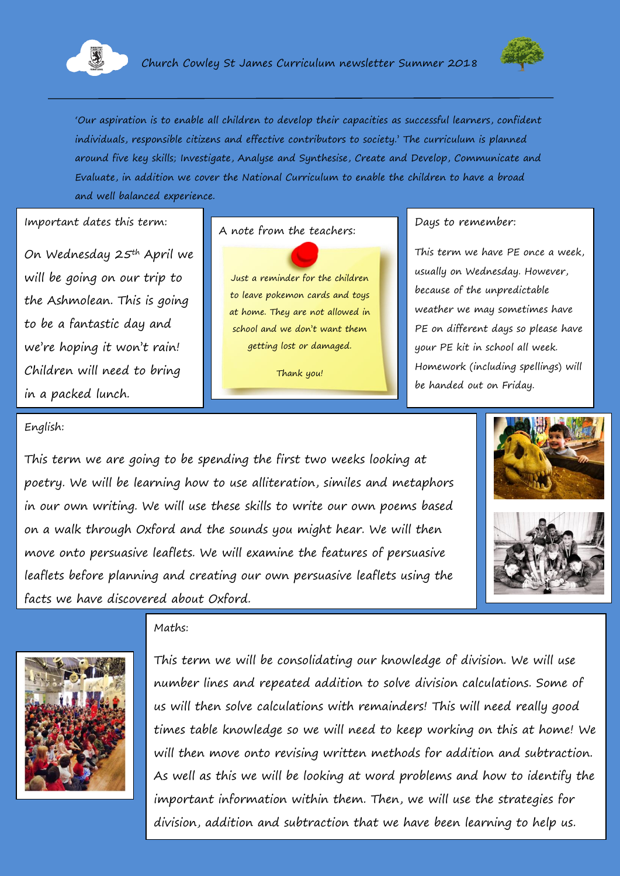



'Our aspiration is to enable all children to develop their capacities as successful learners, confident individuals, responsible citizens and effective contributors to society.' The curriculum is planned around five key skills; Investigate, Analyse and Synthesise, Create and Develop, Communicate and Evaluate, in addition we cover the National Curriculum to enable the children to have a broad and well balanced experience.

#### Important dates this term:

On Wednesday 25th April we will be going on our trip to the Ashmolean. This is going to be a fantastic day and we're hoping it won't rain! Children will need to bring in a packed lunch.

# A note from the teachers: Days to remember:

Just a reminder for the children to leave pokemon cards and toys at home. They are not allowed in school and we don't want them getting lost or damaged.

Thank you!

This term we have PE once a week, usually on Wednesday. However, because of the unpredictable weather we may sometimes have PE on different days so please have your PE kit in school all week. Homework (including spellings) will be handed out on Friday.

#### English:

This term we are going to be spending the first two weeks looking at poetry. We will be learning how to use alliteration, similes and metaphors in our own writing. We will use these skills to write our own poems based on a walk through Oxford and the sounds you might hear. We will then move onto persuasive leaflets. We will examine the features of persuasive leaflets before planning and creating our own persuasive leaflets using the facts we have discovered about Oxford.









This term we will be consolidating our knowledge of division. We will use number lines and repeated addition to solve division calculations. Some of us will then solve calculations with remainders! This will need really good times table knowledge so we will need to keep working on this at home! We will then move onto revising written methods for addition and subtraction. As well as this we will be looking at word problems and how to identify the important information within them. Then, we will use the strategies for division, addition and subtraction that we have been learning to help us.